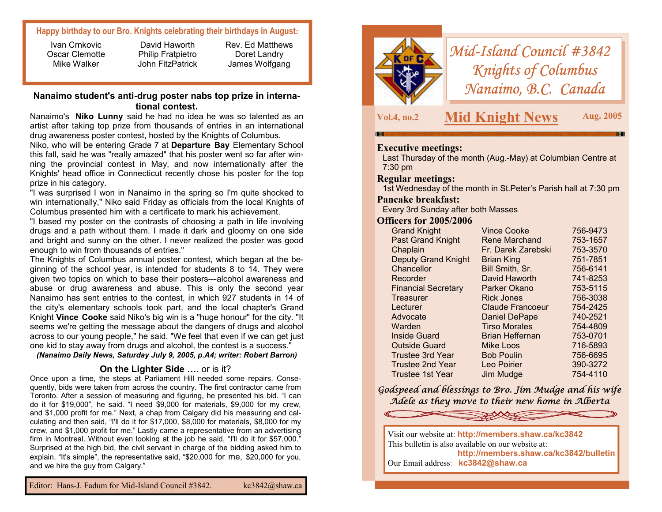# **Happy birthday to our Bro. Knights celebrating their birthdays in August:**

Ivan Crnkovic Oscar Clemotte Mike Walker

David Haworth Philip Fratpietro John FitzPatrick Rev. Ed Matthews Doret Landry James Wolfgang

# **Nanaimo student's anti-drug poster nabs top prize in international contest.**

Nanaimo's **Niko Lunny** said he had no idea he was so talented as an artist after taking top prize from thousands of entries in an international drug awareness poster contest, hosted by the Knights of Columbus.

Niko, who will be entering Grade 7 at **Departure Bay** Elementary School this fall, said he was "really amazed" that his poster went so far after winning the provincial contest in May, and now internationally after the Knights' head office in Connecticut recently chose his poster for the top prize in his category.

"I was surprised I won in Nanaimo in the spring so I'm quite shocked to win internationally," Niko said Friday as officials from the local Knights of Columbus presented him with a certificate to mark his achievement.

"I based my poster on the contrasts of choosing a path in life involving drugs and a path without them. I made it dark and gloomy on one side and bright and sunny on the other. I never realized the poster was good enough to win from thousands of entries."

The Knights of Columbus annual poster contest, which began at the beginning of the school year, is intended for students 8 to 14. They were given two topics on which to base their posters---alcohol awareness and abuse or drug awareness and abuse. This is only the second year Nanaimo has sent entries to the contest, in which 927 students in 14 of the city's elementary schools took part, and the local chapter's Grand Knight **Vince Cooke** said Niko's big win is a "huge honour" for the city. "It seems we're getting the message about the dangers of drugs and alcohol across to our young people," he said. "We feel that even if we can get just one kid to stay away from drugs and alcohol, the contest is a success."

*(Nanaimo Daily News, Saturday July 9, 2005, p.A4; writer: Robert Barron)*

# **On the Lighter Side ….** or is it?

Once upon a time, the steps at Parliament Hill needed some repairs. Consequently, bids were taken from across the country. The first contractor came from Toronto. After a session of measuring and figuring, he presented his bid. "I can do it for \$19,000", he said. "I need \$9,000 for materials, \$9,000 for my crew, and \$1,000 profit for me." Next, a chap from Calgary did his measuring and calculating and then said, "I'll do it for \$17,000, \$8,000 for materials, \$8,000 for my crew, and \$1,000 profit for me." Lastly came a representative from an advertising firm in Montreal. Without even looking at the job he said, "I'll do it for \$57,000." Surprised at the high bid, the civil servant in charge of the bidding asked him to explain. "It's simple", the representative said, "\$20,000 for me, \$20,000 for you, and we hire the guy from Calgary."



*Mid-Island Council #3842 Knights of Columbus Nanaimo, B.C. Canada* 

**Vol.4, no.2 Mid Knight News Aug. 2005** 

# **Executive meetings:**

Last Thursday of the month (Aug.-May) at Columbian Centre at 7:30 pm

#### **Regular meetings:**

1st Wednesday of the month in St.Peter's Parish hall at 7:30 pm

#### **Pancake breakfast:**

Every 3rd Sunday after both Masses

#### **Officers for 2005/2006**

| <b>Grand Knight</b>        | <b>Vince Cooke</b>      | 756-9473 |
|----------------------------|-------------------------|----------|
| <b>Past Grand Knight</b>   | Rene Marchand           | 753-1657 |
| Chaplain                   | Fr. Darek Zarebski      | 753-3570 |
| <b>Deputy Grand Knight</b> | <b>Brian King</b>       | 751-7851 |
| Chancellor                 | Bill Smith, Sr.         | 756-6141 |
| Recorder                   | David Haworth           | 741-8253 |
| <b>Financial Secretary</b> | Parker Okano            | 753-5115 |
| <b>Treasurer</b>           | <b>Rick Jones</b>       | 756-3038 |
| Lecturer                   | <b>Claude Francoeur</b> | 754-2425 |
| Advocate                   | <b>Daniel DePape</b>    | 740-2521 |
| Warden                     | <b>Tirso Morales</b>    | 754-4809 |
| Inside Guard               | Brian Heffernan         | 753-0701 |
| <b>Outside Guard</b>       | <b>Mike Loos</b>        | 716-5893 |
| <b>Trustee 3rd Year</b>    | <b>Bob Poulin</b>       | 756-6695 |
| Trustee 2nd Year           | Leo Poirier             | 390-3272 |
| Trustee 1st Year           | Jim Mudge               | 754-4110 |

*Godspeed and blessings to Bro. Jim Mudge and his wife Adele as they move to their new home in Alberta*